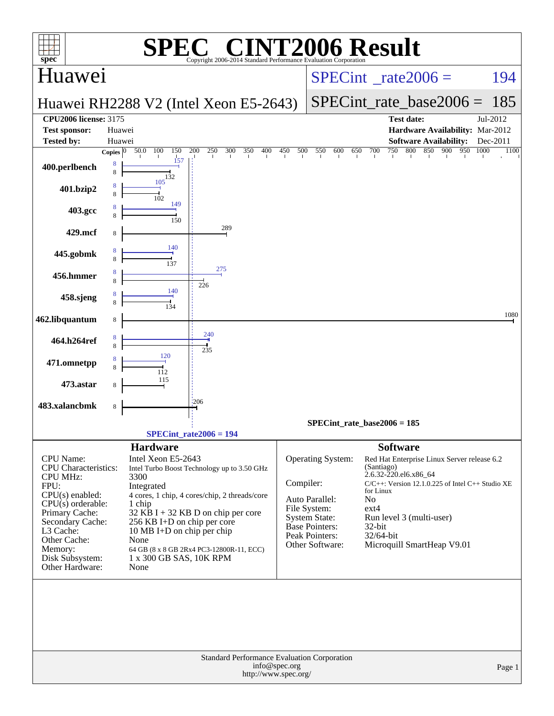| <b>INT2006 Result</b><br>$\bigcap$<br>spec <sup>®</sup><br>Copyright 2006-2014 Standard Performance Evaluation Corporation |                                |                                               |            |                                      |                                                                         |                          |  |  |
|----------------------------------------------------------------------------------------------------------------------------|--------------------------------|-----------------------------------------------|------------|--------------------------------------|-------------------------------------------------------------------------|--------------------------|--|--|
| Huawei                                                                                                                     |                                |                                               |            |                                      | $SPECint^{\circ}$ rate $2006 =$                                         | 194                      |  |  |
|                                                                                                                            |                                | Huawei RH2288 V2 (Intel Xeon E5-2643)         |            |                                      | $SPECint_rate_base2006 =$                                               | 185                      |  |  |
| <b>CPU2006 license: 3175</b>                                                                                               |                                |                                               |            |                                      | <b>Test date:</b>                                                       | Jul-2012                 |  |  |
| <b>Test sponsor:</b>                                                                                                       | Huawei                         |                                               |            |                                      | Hardware Availability: Mar-2012                                         |                          |  |  |
| <b>Tested by:</b>                                                                                                          | Huawei<br>100                  | $\overline{200}$<br>150<br>400                | 450<br>500 | 550<br>600<br>650                    | <b>Software Availability:</b><br>850<br>700<br>750<br>800<br>900<br>950 | Dec-2011<br>1000<br>1100 |  |  |
| 400.perlbench                                                                                                              | 50.0<br>Copies $ 0 $<br>8<br>8 | 250<br>300<br>350<br>157<br>132               |            |                                      |                                                                         |                          |  |  |
| 401.bzip2                                                                                                                  | 105<br>8<br>8<br>102           |                                               |            |                                      |                                                                         |                          |  |  |
| 403.gcc                                                                                                                    | 8                              | 149<br>150                                    |            |                                      |                                                                         |                          |  |  |
| 429.mcf                                                                                                                    | 8                              | 289                                           |            |                                      |                                                                         |                          |  |  |
| 445.gobmk                                                                                                                  | 8<br>8                         | 140<br>137                                    |            |                                      |                                                                         |                          |  |  |
| 456.hmmer                                                                                                                  | 8<br>8                         | 275<br>226                                    |            |                                      |                                                                         |                          |  |  |
| 458.sjeng                                                                                                                  | 8                              | 140<br>134                                    |            |                                      |                                                                         |                          |  |  |
| 462.libquantum                                                                                                             | 8                              |                                               |            |                                      |                                                                         | 1080                     |  |  |
| 464.h264ref                                                                                                                | 8<br>8                         | 240<br>235                                    |            |                                      |                                                                         |                          |  |  |
| 471.omnetpp                                                                                                                | 120<br>8<br>8<br>112           |                                               |            |                                      |                                                                         |                          |  |  |
| 473.astar                                                                                                                  | 115<br>8                       |                                               |            |                                      |                                                                         |                          |  |  |
| 483.xalancbmk                                                                                                              | 8                              | 206                                           |            |                                      |                                                                         |                          |  |  |
|                                                                                                                            |                                |                                               |            |                                      | SPECint rate base $2006 = 185$                                          |                          |  |  |
|                                                                                                                            |                                | $SPECint_rate2006 = 194$                      |            |                                      |                                                                         |                          |  |  |
|                                                                                                                            | <b>Hardware</b>                |                                               |            |                                      | <b>Software</b>                                                         |                          |  |  |
| <b>CPU</b> Name:                                                                                                           | Intel Xeon E5-2643             |                                               |            | <b>Operating System:</b>             | Red Hat Enterprise Linux Server release 6.2                             |                          |  |  |
| <b>CPU</b> Characteristics:<br><b>CPU MHz:</b>                                                                             | 3300                           | Intel Turbo Boost Technology up to 3.50 GHz   |            |                                      | (Santiago)<br>2.6.32-220.el6.x86_64                                     |                          |  |  |
| FPU:                                                                                                                       | Integrated                     |                                               | Compiler:  |                                      | $C/C++$ : Version 12.1.0.225 of Intel $C++$ Studio XE<br>for Linux      |                          |  |  |
| $CPU(s)$ enabled:<br>$CPU(s)$ orderable:                                                                                   | 1 chip                         | 4 cores, 1 chip, 4 cores/chip, 2 threads/core |            | Auto Parallel:                       | N <sub>0</sub>                                                          |                          |  |  |
| Primary Cache:                                                                                                             |                                | $32$ KB I + 32 KB D on chip per core          |            | File System:<br><b>System State:</b> | $ext{4}$<br>Run level 3 (multi-user)                                    |                          |  |  |
| Secondary Cache:                                                                                                           |                                | 256 KB I+D on chip per core                   |            | <b>Base Pointers:</b>                | 32-bit                                                                  |                          |  |  |
| L3 Cache:<br>Other Cache:                                                                                                  | None                           | 10 MB I+D on chip per chip                    |            | Peak Pointers:                       | 32/64-bit                                                               |                          |  |  |
| Memory:                                                                                                                    |                                | 64 GB (8 x 8 GB 2Rx4 PC3-12800R-11, ECC)      |            | Other Software:                      | Microquill SmartHeap V9.01                                              |                          |  |  |
| Disk Subsystem:<br>Other Hardware:                                                                                         | None                           | 1 x 300 GB SAS, 10K RPM                       |            |                                      |                                                                         |                          |  |  |
|                                                                                                                            |                                |                                               |            |                                      |                                                                         |                          |  |  |
|                                                                                                                            |                                |                                               |            |                                      |                                                                         |                          |  |  |
|                                                                                                                            |                                |                                               |            |                                      |                                                                         |                          |  |  |
|                                                                                                                            |                                |                                               |            |                                      |                                                                         |                          |  |  |
|                                                                                                                            |                                |                                               |            |                                      |                                                                         |                          |  |  |
|                                                                                                                            |                                |                                               |            |                                      |                                                                         |                          |  |  |
|                                                                                                                            |                                | Standard Performance Evaluation Corporation   |            |                                      |                                                                         |                          |  |  |
| info@spec.org<br>Page 1<br>http://www.spec.org/                                                                            |                                |                                               |            |                                      |                                                                         |                          |  |  |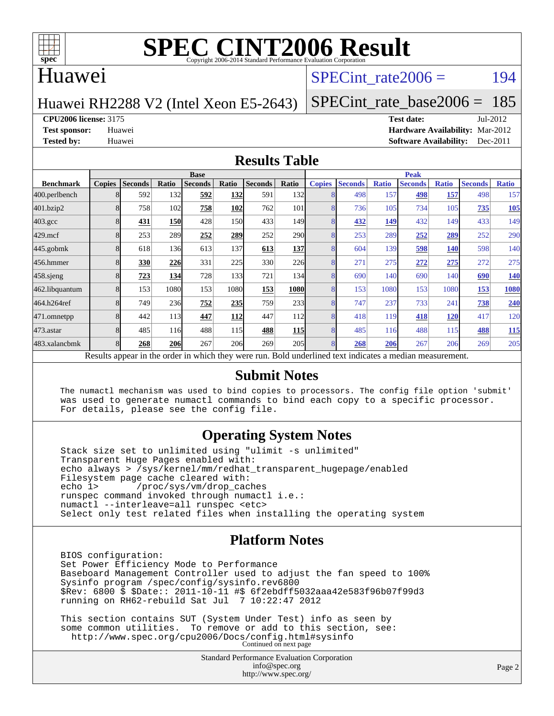

## Huawei

## SPECint rate $2006 = 194$

#### Huawei RH2288 V2 (Intel Xeon E5-2643)

[SPECint\\_rate\\_base2006 =](http://www.spec.org/auto/cpu2006/Docs/result-fields.html#SPECintratebase2006) 185

#### **[CPU2006 license:](http://www.spec.org/auto/cpu2006/Docs/result-fields.html#CPU2006license)** 3175 **[Test date:](http://www.spec.org/auto/cpu2006/Docs/result-fields.html#Testdate)** Jul-2012

**[Test sponsor:](http://www.spec.org/auto/cpu2006/Docs/result-fields.html#Testsponsor)** Huawei **[Hardware Availability:](http://www.spec.org/auto/cpu2006/Docs/result-fields.html#HardwareAvailability)** Mar-2012 **[Tested by:](http://www.spec.org/auto/cpu2006/Docs/result-fields.html#Testedby)** Huawei **[Software Availability:](http://www.spec.org/auto/cpu2006/Docs/result-fields.html#SoftwareAvailability)** Dec-2011

#### **[Results Table](http://www.spec.org/auto/cpu2006/Docs/result-fields.html#ResultsTable)**

|                                                                                                          | <b>Base</b>   |                |            |                |            |                | <b>Peak</b> |               |                |              |                |              |                |              |
|----------------------------------------------------------------------------------------------------------|---------------|----------------|------------|----------------|------------|----------------|-------------|---------------|----------------|--------------|----------------|--------------|----------------|--------------|
| <b>Benchmark</b>                                                                                         | <b>Copies</b> | <b>Seconds</b> | Ratio      | <b>Seconds</b> | Ratio      | <b>Seconds</b> | Ratio       | <b>Copies</b> | <b>Seconds</b> | <b>Ratio</b> | <b>Seconds</b> | <b>Ratio</b> | <b>Seconds</b> | <b>Ratio</b> |
| 400.perlbench                                                                                            |               | 592            | 132        | 592            | <b>132</b> | 591            | 132         |               | 498            | 157          | 498            | 157          | 498            | 157          |
| 401.bzip2                                                                                                |               | 758            | 102        | 758            | 102        | 762            | 101         |               | 736            | 105          | 734            | 105          | 735            | 105          |
| $403.\mathrm{gcc}$                                                                                       |               | 431            | <b>150</b> | 428            | 150I       | 433            | 149         |               | 432            | 149          | 432            | 149          | 433            | 149          |
| $429$ .mcf                                                                                               |               | 253            | 289        | 252            | 289        | 252            | <b>290</b>  |               | 253            | 289          | 252            | 289          | 252            | 290          |
| $445$ .gobm $k$                                                                                          | 8             | 618            | 136        | 613            | 137        | 613            | 137         |               | 604            | 139          | 598            | <b>140</b>   | 598            | 140          |
| 456.hmmer                                                                                                |               | 330            | 226        | 331            | 225        | 330            | 226         |               | 271            | 275          | 272            | 275          | 272            | 275          |
| $458$ .sjeng                                                                                             |               | 723            | 134        | 728            | 133        | 721            | 134         |               | 690            | 140          | 690            | 140          | 690            | <b>140</b>   |
| 462.libquantum                                                                                           |               | 153            | 1080       | 153            | 1080       | 153            | <b>1080</b> |               | 153            | 1080         | 153            | 1080         | 153            | 1080         |
| 464.h264ref                                                                                              |               | 749            | 236        | 752            | 235        | 759            | 233         |               | 747            | 237          | 733            | 241          | 738            | 240          |
| 471.omnetpp                                                                                              |               | 442            | 113        | 447            | <b>112</b> | 447            | 112         |               | 418            | 119          | 418            | <b>120</b>   | 417            | 120          |
| $473$ . astar                                                                                            |               | 485            | 116        | 488            | <b>115</b> | 488            | 115         |               | 485            | 116          | 488            | 115          | 488            | <b>115</b>   |
| 483.xalancbmk                                                                                            |               | 268            | <b>206</b> | 267            | 206        | 269            | 205         |               | 268            | 206          | 267            | 206          | 269            | 205          |
| Results appear in the order in which they were run. Bold underlined text indicates a median measurement. |               |                |            |                |            |                |             |               |                |              |                |              |                |              |

#### **[Submit Notes](http://www.spec.org/auto/cpu2006/Docs/result-fields.html#SubmitNotes)**

 The numactl mechanism was used to bind copies to processors. The config file option 'submit' was used to generate numactl commands to bind each copy to a specific processor. For details, please see the config file.

### **[Operating System Notes](http://www.spec.org/auto/cpu2006/Docs/result-fields.html#OperatingSystemNotes)**

 Stack size set to unlimited using "ulimit -s unlimited" Transparent Huge Pages enabled with: echo always > /sys/kernel/mm/redhat\_transparent\_hugepage/enabled Filesystem page cache cleared with:<br>echo 1> /proc/sys/vm/drop cac /proc/sys/vm/drop\_caches runspec command invoked through numactl i.e.: numactl --interleave=all runspec <etc> Select only test related files when installing the operating system

### **[Platform Notes](http://www.spec.org/auto/cpu2006/Docs/result-fields.html#PlatformNotes)**

 BIOS configuration: Set Power Efficiency Mode to Performance Baseboard Management Controller used to adjust the fan speed to 100% Sysinfo program /spec/config/sysinfo.rev6800 \$Rev: 6800 \$ \$Date:: 2011-10-11 #\$ 6f2ebdff5032aaa42e583f96b07f99d3 running on RH62-rebuild Sat Jul 7 10:22:47 2012

 This section contains SUT (System Under Test) info as seen by some common utilities. To remove or add to this section, see: <http://www.spec.org/cpu2006/Docs/config.html#sysinfo> Continued on next page

> Standard Performance Evaluation Corporation [info@spec.org](mailto:info@spec.org) <http://www.spec.org/>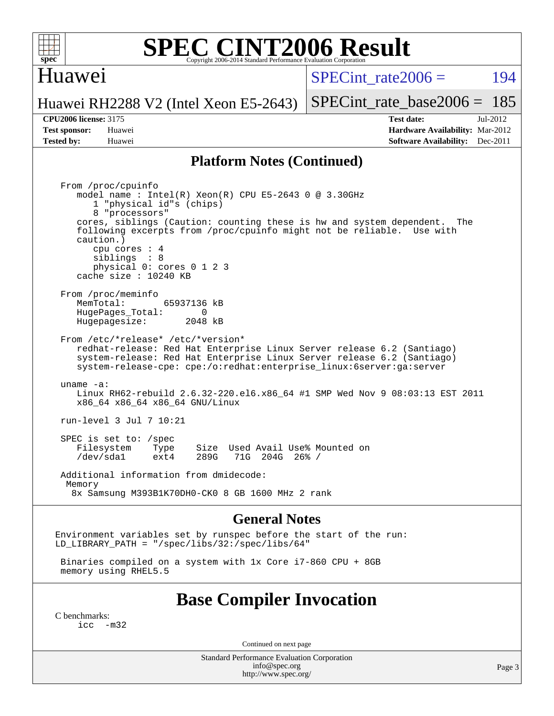

## Huawei

SPECint rate $2006 = 194$ 

Huawei RH2288 V2 (Intel Xeon E5-2643) [SPECint\\_rate\\_base2006 =](http://www.spec.org/auto/cpu2006/Docs/result-fields.html#SPECintratebase2006) 185

**[Tested by:](http://www.spec.org/auto/cpu2006/Docs/result-fields.html#Testedby)** Huawei **[Software Availability:](http://www.spec.org/auto/cpu2006/Docs/result-fields.html#SoftwareAvailability)** Dec-2011

**[CPU2006 license:](http://www.spec.org/auto/cpu2006/Docs/result-fields.html#CPU2006license)** 3175 **[Test date:](http://www.spec.org/auto/cpu2006/Docs/result-fields.html#Testdate)** Jul-2012 **[Test sponsor:](http://www.spec.org/auto/cpu2006/Docs/result-fields.html#Testsponsor)** Huawei **[Hardware Availability:](http://www.spec.org/auto/cpu2006/Docs/result-fields.html#HardwareAvailability)** Mar-2012

### **[Platform Notes \(Continued\)](http://www.spec.org/auto/cpu2006/Docs/result-fields.html#PlatformNotes)**

 From /proc/cpuinfo model name : Intel(R) Xeon(R) CPU E5-2643 0 @ 3.30GHz 1 "physical id"s (chips) 8 "processors" cores, siblings (Caution: counting these is hw and system dependent. The following excerpts from /proc/cpuinfo might not be reliable. Use with caution.) cpu cores : 4 siblings : 8 physical 0: cores 0 1 2 3 cache size : 10240 KB From /proc/meminfo<br>MemTotal: 65937136 kB HugePages\_Total: 0<br>Hugepagesize: 2048 kB Hugepagesize: From /etc/\*release\* /etc/\*version\* redhat-release: Red Hat Enterprise Linux Server release 6.2 (Santiago) system-release: Red Hat Enterprise Linux Server release 6.2 (Santiago) system-release-cpe: cpe:/o:redhat:enterprise\_linux:6server:ga:server uname -a: Linux RH62-rebuild 2.6.32-220.el6.x86\_64 #1 SMP Wed Nov 9 08:03:13 EST 2011 x86\_64 x86\_64 x86\_64 GNU/Linux run-level 3 Jul 7 10:21 SPEC is set to: /spec Filesystem Type Size Used Avail Use% Mounted on<br>
/dev/sdal ext4 289G 71G 204G 26% / 71G 204G 26% / Additional information from dmidecode: Memory 8x Samsung M393B1K70DH0-CK0 8 GB 1600 MHz 2 rank

#### **[General Notes](http://www.spec.org/auto/cpu2006/Docs/result-fields.html#GeneralNotes)**

Environment variables set by runspec before the start of the run: LD LIBRARY PATH = "/spec/libs/32:/spec/libs/64"

 Binaries compiled on a system with 1x Core i7-860 CPU + 8GB memory using RHEL5.5

## **[Base Compiler Invocation](http://www.spec.org/auto/cpu2006/Docs/result-fields.html#BaseCompilerInvocation)**

[C benchmarks](http://www.spec.org/auto/cpu2006/Docs/result-fields.html#Cbenchmarks):  $inc -m32$ 

Continued on next page

Standard Performance Evaluation Corporation [info@spec.org](mailto:info@spec.org) <http://www.spec.org/>

Page 3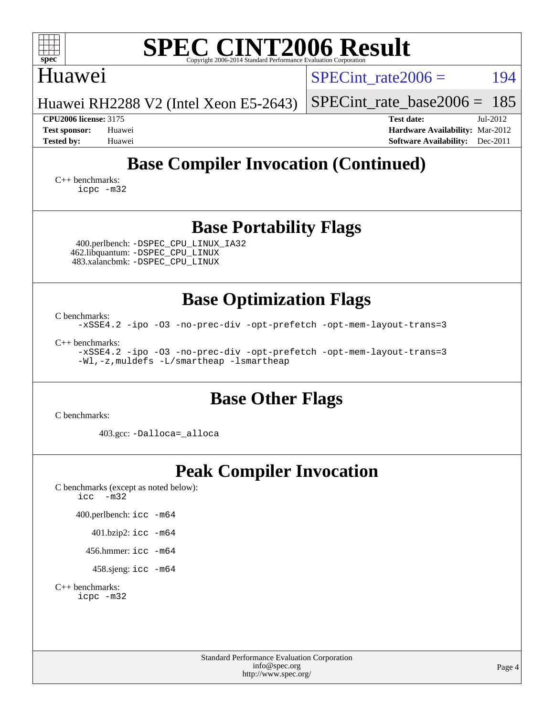| <b>SPEC CINT2006 Result</b><br>spec<br>Copyright 2006-2014 Standard Performance Evaluation Corporatio                                         |                                                                           |  |  |  |  |  |  |  |
|-----------------------------------------------------------------------------------------------------------------------------------------------|---------------------------------------------------------------------------|--|--|--|--|--|--|--|
| <b>Huawei</b>                                                                                                                                 | 194<br>SPECint rate $2006 =$                                              |  |  |  |  |  |  |  |
| Huawei RH2288 V2 (Intel Xeon E5-2643)                                                                                                         | $SPECint$ rate_base2006 =<br>185                                          |  |  |  |  |  |  |  |
| <b>CPU2006 license: 3175</b><br><b>Test sponsor:</b><br>Huawei                                                                                | <b>Test date:</b><br>$Jul-2012$<br><b>Hardware Availability: Mar-2012</b> |  |  |  |  |  |  |  |
| <b>Tested by:</b><br>Huawei                                                                                                                   | Software Availability: Dec-2011                                           |  |  |  |  |  |  |  |
| <b>Base Compiler Invocation (Continued)</b><br>$C_{++}$ benchmarks:<br>icpc -m32                                                              |                                                                           |  |  |  |  |  |  |  |
| <b>Base Portability Flags</b><br>400.perlbench: -DSPEC_CPU_LINUX_IA32<br>462.libquantum: - DSPEC_CPU_LINUX<br>483.xalancbmk: -DSPEC CPU LINUX |                                                                           |  |  |  |  |  |  |  |
| <b>Base Optimization Flags</b>                                                                                                                |                                                                           |  |  |  |  |  |  |  |
| C benchmarks:<br>-xSSE4.2 -ipo -03 -no-prec-div -opt-prefetch -opt-mem-layout-trans=3                                                         |                                                                           |  |  |  |  |  |  |  |
| $C_{++}$ benchmarks:<br>-xSSE4.2 -ipo -03 -no-prec-div -opt-prefetch -opt-mem-layout-trans=3<br>-Wl,-z, muldefs -L/smartheap -lsmartheap      |                                                                           |  |  |  |  |  |  |  |
| <b>Base Other Flags</b>                                                                                                                       |                                                                           |  |  |  |  |  |  |  |
| C benchmarks:                                                                                                                                 |                                                                           |  |  |  |  |  |  |  |
| 403.gcc: -Dalloca=_alloca                                                                                                                     |                                                                           |  |  |  |  |  |  |  |

# **[Peak Compiler Invocation](http://www.spec.org/auto/cpu2006/Docs/result-fields.html#PeakCompilerInvocation)**

[C benchmarks \(except as noted below\)](http://www.spec.org/auto/cpu2006/Docs/result-fields.html#Cbenchmarksexceptasnotedbelow): [icc -m32](http://www.spec.org/cpu2006/results/res2012q3/cpu2006-20120711-23609.flags.html#user_CCpeak_intel_icc_5ff4a39e364c98233615fdd38438c6f2)

400.perlbench: [icc -m64](http://www.spec.org/cpu2006/results/res2012q3/cpu2006-20120711-23609.flags.html#user_peakCCLD400_perlbench_intel_icc_64bit_bda6cc9af1fdbb0edc3795bac97ada53)

401.bzip2: [icc -m64](http://www.spec.org/cpu2006/results/res2012q3/cpu2006-20120711-23609.flags.html#user_peakCCLD401_bzip2_intel_icc_64bit_bda6cc9af1fdbb0edc3795bac97ada53)

456.hmmer: [icc -m64](http://www.spec.org/cpu2006/results/res2012q3/cpu2006-20120711-23609.flags.html#user_peakCCLD456_hmmer_intel_icc_64bit_bda6cc9af1fdbb0edc3795bac97ada53)

458.sjeng: [icc -m64](http://www.spec.org/cpu2006/results/res2012q3/cpu2006-20120711-23609.flags.html#user_peakCCLD458_sjeng_intel_icc_64bit_bda6cc9af1fdbb0edc3795bac97ada53)

[C++ benchmarks:](http://www.spec.org/auto/cpu2006/Docs/result-fields.html#CXXbenchmarks) [icpc -m32](http://www.spec.org/cpu2006/results/res2012q3/cpu2006-20120711-23609.flags.html#user_CXXpeak_intel_icpc_4e5a5ef1a53fd332b3c49e69c3330699)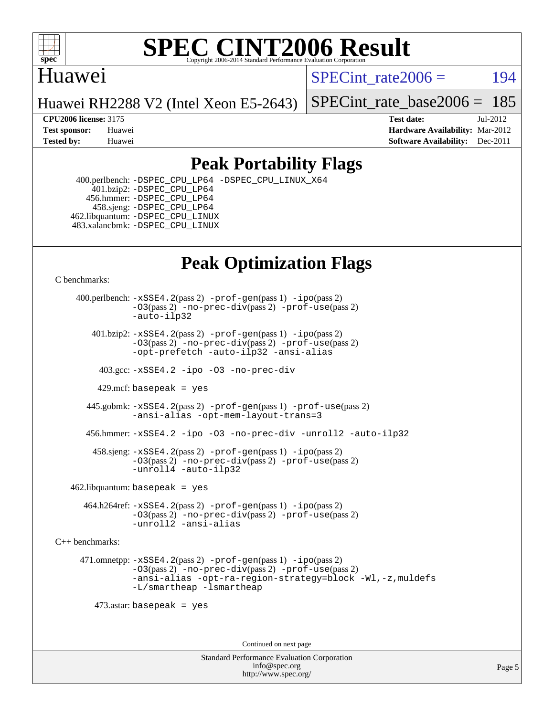

# Huawei

SPECint rate $2006 = 194$ 

Huawei RH2288 V2 (Intel Xeon E5-2643)

[SPECint\\_rate\\_base2006 =](http://www.spec.org/auto/cpu2006/Docs/result-fields.html#SPECintratebase2006) 185

**[CPU2006 license:](http://www.spec.org/auto/cpu2006/Docs/result-fields.html#CPU2006license)** 3175 **[Test date:](http://www.spec.org/auto/cpu2006/Docs/result-fields.html#Testdate)** Jul-2012 **[Test sponsor:](http://www.spec.org/auto/cpu2006/Docs/result-fields.html#Testsponsor)** Huawei **[Hardware Availability:](http://www.spec.org/auto/cpu2006/Docs/result-fields.html#HardwareAvailability)** Mar-2012 **[Tested by:](http://www.spec.org/auto/cpu2006/Docs/result-fields.html#Testedby)** Huawei **[Software Availability:](http://www.spec.org/auto/cpu2006/Docs/result-fields.html#SoftwareAvailability)** Dec-2011

# **[Peak Portability Flags](http://www.spec.org/auto/cpu2006/Docs/result-fields.html#PeakPortabilityFlags)**

 400.perlbench: [-DSPEC\\_CPU\\_LP64](http://www.spec.org/cpu2006/results/res2012q3/cpu2006-20120711-23609.flags.html#b400.perlbench_peakCPORTABILITY_DSPEC_CPU_LP64) [-DSPEC\\_CPU\\_LINUX\\_X64](http://www.spec.org/cpu2006/results/res2012q3/cpu2006-20120711-23609.flags.html#b400.perlbench_peakCPORTABILITY_DSPEC_CPU_LINUX_X64) 401.bzip2: [-DSPEC\\_CPU\\_LP64](http://www.spec.org/cpu2006/results/res2012q3/cpu2006-20120711-23609.flags.html#suite_peakCPORTABILITY401_bzip2_DSPEC_CPU_LP64) 456.hmmer: [-DSPEC\\_CPU\\_LP64](http://www.spec.org/cpu2006/results/res2012q3/cpu2006-20120711-23609.flags.html#suite_peakCPORTABILITY456_hmmer_DSPEC_CPU_LP64) 458.sjeng: [-DSPEC\\_CPU\\_LP64](http://www.spec.org/cpu2006/results/res2012q3/cpu2006-20120711-23609.flags.html#suite_peakCPORTABILITY458_sjeng_DSPEC_CPU_LP64) 462.libquantum: [-DSPEC\\_CPU\\_LINUX](http://www.spec.org/cpu2006/results/res2012q3/cpu2006-20120711-23609.flags.html#b462.libquantum_peakCPORTABILITY_DSPEC_CPU_LINUX) 483.xalancbmk: [-DSPEC\\_CPU\\_LINUX](http://www.spec.org/cpu2006/results/res2012q3/cpu2006-20120711-23609.flags.html#b483.xalancbmk_peakCXXPORTABILITY_DSPEC_CPU_LINUX)

# **[Peak Optimization Flags](http://www.spec.org/auto/cpu2006/Docs/result-fields.html#PeakOptimizationFlags)**

[C benchmarks](http://www.spec.org/auto/cpu2006/Docs/result-fields.html#Cbenchmarks):

 400.perlbench: [-xSSE4.2](http://www.spec.org/cpu2006/results/res2012q3/cpu2006-20120711-23609.flags.html#user_peakPASS2_CFLAGSPASS2_LDCFLAGS400_perlbench_f-xSSE42_f91528193cf0b216347adb8b939d4107)(pass 2) [-prof-gen](http://www.spec.org/cpu2006/results/res2012q3/cpu2006-20120711-23609.flags.html#user_peakPASS1_CFLAGSPASS1_LDCFLAGS400_perlbench_prof_gen_e43856698f6ca7b7e442dfd80e94a8fc)(pass 1) [-ipo](http://www.spec.org/cpu2006/results/res2012q3/cpu2006-20120711-23609.flags.html#user_peakPASS2_CFLAGSPASS2_LDCFLAGS400_perlbench_f-ipo)(pass 2) [-O3](http://www.spec.org/cpu2006/results/res2012q3/cpu2006-20120711-23609.flags.html#user_peakPASS2_CFLAGSPASS2_LDCFLAGS400_perlbench_f-O3)(pass 2) [-no-prec-div](http://www.spec.org/cpu2006/results/res2012q3/cpu2006-20120711-23609.flags.html#user_peakPASS2_CFLAGSPASS2_LDCFLAGS400_perlbench_f-no-prec-div)(pass 2) [-prof-use](http://www.spec.org/cpu2006/results/res2012q3/cpu2006-20120711-23609.flags.html#user_peakPASS2_CFLAGSPASS2_LDCFLAGS400_perlbench_prof_use_bccf7792157ff70d64e32fe3e1250b55)(pass 2) [-auto-ilp32](http://www.spec.org/cpu2006/results/res2012q3/cpu2006-20120711-23609.flags.html#user_peakCOPTIMIZE400_perlbench_f-auto-ilp32)  $401.bzip2: -xSSE4.2(pass 2) -prof-qen(pass 1) -ipo(pass 2)$  $401.bzip2: -xSSE4.2(pass 2) -prof-qen(pass 1) -ipo(pass 2)$  $401.bzip2: -xSSE4.2(pass 2) -prof-qen(pass 1) -ipo(pass 2)$  $401.bzip2: -xSSE4.2(pass 2) -prof-qen(pass 1) -ipo(pass 2)$  $401.bzip2: -xSSE4.2(pass 2) -prof-qen(pass 1) -ipo(pass 2)$ [-O3](http://www.spec.org/cpu2006/results/res2012q3/cpu2006-20120711-23609.flags.html#user_peakPASS2_CFLAGSPASS2_LDCFLAGS401_bzip2_f-O3)(pass 2) [-no-prec-div](http://www.spec.org/cpu2006/results/res2012q3/cpu2006-20120711-23609.flags.html#user_peakPASS2_CFLAGSPASS2_LDCFLAGS401_bzip2_f-no-prec-div)(pass 2) [-prof-use](http://www.spec.org/cpu2006/results/res2012q3/cpu2006-20120711-23609.flags.html#user_peakPASS2_CFLAGSPASS2_LDCFLAGS401_bzip2_prof_use_bccf7792157ff70d64e32fe3e1250b55)(pass 2) [-opt-prefetch](http://www.spec.org/cpu2006/results/res2012q3/cpu2006-20120711-23609.flags.html#user_peakCOPTIMIZE401_bzip2_f-opt-prefetch) [-auto-ilp32](http://www.spec.org/cpu2006/results/res2012q3/cpu2006-20120711-23609.flags.html#user_peakCOPTIMIZE401_bzip2_f-auto-ilp32) [-ansi-alias](http://www.spec.org/cpu2006/results/res2012q3/cpu2006-20120711-23609.flags.html#user_peakCOPTIMIZE401_bzip2_f-ansi-alias) 403.gcc: [-xSSE4.2](http://www.spec.org/cpu2006/results/res2012q3/cpu2006-20120711-23609.flags.html#user_peakCOPTIMIZE403_gcc_f-xSSE42_f91528193cf0b216347adb8b939d4107) [-ipo](http://www.spec.org/cpu2006/results/res2012q3/cpu2006-20120711-23609.flags.html#user_peakCOPTIMIZE403_gcc_f-ipo) [-O3](http://www.spec.org/cpu2006/results/res2012q3/cpu2006-20120711-23609.flags.html#user_peakCOPTIMIZE403_gcc_f-O3) [-no-prec-div](http://www.spec.org/cpu2006/results/res2012q3/cpu2006-20120711-23609.flags.html#user_peakCOPTIMIZE403_gcc_f-no-prec-div) 429.mcf: basepeak = yes 445.gobmk: [-xSSE4.2](http://www.spec.org/cpu2006/results/res2012q3/cpu2006-20120711-23609.flags.html#user_peakPASS2_CFLAGSPASS2_LDCFLAGS445_gobmk_f-xSSE42_f91528193cf0b216347adb8b939d4107)(pass 2) [-prof-gen](http://www.spec.org/cpu2006/results/res2012q3/cpu2006-20120711-23609.flags.html#user_peakPASS1_CFLAGSPASS1_LDCFLAGS445_gobmk_prof_gen_e43856698f6ca7b7e442dfd80e94a8fc)(pass 1) [-prof-use](http://www.spec.org/cpu2006/results/res2012q3/cpu2006-20120711-23609.flags.html#user_peakPASS2_CFLAGSPASS2_LDCFLAGS445_gobmk_prof_use_bccf7792157ff70d64e32fe3e1250b55)(pass 2) [-ansi-alias](http://www.spec.org/cpu2006/results/res2012q3/cpu2006-20120711-23609.flags.html#user_peakCOPTIMIZE445_gobmk_f-ansi-alias) [-opt-mem-layout-trans=3](http://www.spec.org/cpu2006/results/res2012q3/cpu2006-20120711-23609.flags.html#user_peakCOPTIMIZE445_gobmk_f-opt-mem-layout-trans_a7b82ad4bd7abf52556d4961a2ae94d5) 456.hmmer: [-xSSE4.2](http://www.spec.org/cpu2006/results/res2012q3/cpu2006-20120711-23609.flags.html#user_peakCOPTIMIZE456_hmmer_f-xSSE42_f91528193cf0b216347adb8b939d4107) [-ipo](http://www.spec.org/cpu2006/results/res2012q3/cpu2006-20120711-23609.flags.html#user_peakCOPTIMIZE456_hmmer_f-ipo) [-O3](http://www.spec.org/cpu2006/results/res2012q3/cpu2006-20120711-23609.flags.html#user_peakCOPTIMIZE456_hmmer_f-O3) [-no-prec-div](http://www.spec.org/cpu2006/results/res2012q3/cpu2006-20120711-23609.flags.html#user_peakCOPTIMIZE456_hmmer_f-no-prec-div) [-unroll2](http://www.spec.org/cpu2006/results/res2012q3/cpu2006-20120711-23609.flags.html#user_peakCOPTIMIZE456_hmmer_f-unroll_784dae83bebfb236979b41d2422d7ec2) [-auto-ilp32](http://www.spec.org/cpu2006/results/res2012q3/cpu2006-20120711-23609.flags.html#user_peakCOPTIMIZE456_hmmer_f-auto-ilp32) 458.sjeng: [-xSSE4.2](http://www.spec.org/cpu2006/results/res2012q3/cpu2006-20120711-23609.flags.html#user_peakPASS2_CFLAGSPASS2_LDCFLAGS458_sjeng_f-xSSE42_f91528193cf0b216347adb8b939d4107)(pass 2) [-prof-gen](http://www.spec.org/cpu2006/results/res2012q3/cpu2006-20120711-23609.flags.html#user_peakPASS1_CFLAGSPASS1_LDCFLAGS458_sjeng_prof_gen_e43856698f6ca7b7e442dfd80e94a8fc)(pass 1) [-ipo](http://www.spec.org/cpu2006/results/res2012q3/cpu2006-20120711-23609.flags.html#user_peakPASS2_CFLAGSPASS2_LDCFLAGS458_sjeng_f-ipo)(pass 2) [-O3](http://www.spec.org/cpu2006/results/res2012q3/cpu2006-20120711-23609.flags.html#user_peakPASS2_CFLAGSPASS2_LDCFLAGS458_sjeng_f-O3)(pass 2) [-no-prec-div](http://www.spec.org/cpu2006/results/res2012q3/cpu2006-20120711-23609.flags.html#user_peakPASS2_CFLAGSPASS2_LDCFLAGS458_sjeng_f-no-prec-div)(pass 2) [-prof-use](http://www.spec.org/cpu2006/results/res2012q3/cpu2006-20120711-23609.flags.html#user_peakPASS2_CFLAGSPASS2_LDCFLAGS458_sjeng_prof_use_bccf7792157ff70d64e32fe3e1250b55)(pass 2) [-unroll4](http://www.spec.org/cpu2006/results/res2012q3/cpu2006-20120711-23609.flags.html#user_peakCOPTIMIZE458_sjeng_f-unroll_4e5e4ed65b7fd20bdcd365bec371b81f) [-auto-ilp32](http://www.spec.org/cpu2006/results/res2012q3/cpu2006-20120711-23609.flags.html#user_peakCOPTIMIZE458_sjeng_f-auto-ilp32)  $462$ .libquantum: basepeak = yes 464.h264ref: [-xSSE4.2](http://www.spec.org/cpu2006/results/res2012q3/cpu2006-20120711-23609.flags.html#user_peakPASS2_CFLAGSPASS2_LDCFLAGS464_h264ref_f-xSSE42_f91528193cf0b216347adb8b939d4107)(pass 2) [-prof-gen](http://www.spec.org/cpu2006/results/res2012q3/cpu2006-20120711-23609.flags.html#user_peakPASS1_CFLAGSPASS1_LDCFLAGS464_h264ref_prof_gen_e43856698f6ca7b7e442dfd80e94a8fc)(pass 1) [-ipo](http://www.spec.org/cpu2006/results/res2012q3/cpu2006-20120711-23609.flags.html#user_peakPASS2_CFLAGSPASS2_LDCFLAGS464_h264ref_f-ipo)(pass 2) [-O3](http://www.spec.org/cpu2006/results/res2012q3/cpu2006-20120711-23609.flags.html#user_peakPASS2_CFLAGSPASS2_LDCFLAGS464_h264ref_f-O3)(pass 2) [-no-prec-div](http://www.spec.org/cpu2006/results/res2012q3/cpu2006-20120711-23609.flags.html#user_peakPASS2_CFLAGSPASS2_LDCFLAGS464_h264ref_f-no-prec-div)(pass 2) [-prof-use](http://www.spec.org/cpu2006/results/res2012q3/cpu2006-20120711-23609.flags.html#user_peakPASS2_CFLAGSPASS2_LDCFLAGS464_h264ref_prof_use_bccf7792157ff70d64e32fe3e1250b55)(pass 2) [-unroll2](http://www.spec.org/cpu2006/results/res2012q3/cpu2006-20120711-23609.flags.html#user_peakCOPTIMIZE464_h264ref_f-unroll_784dae83bebfb236979b41d2422d7ec2) [-ansi-alias](http://www.spec.org/cpu2006/results/res2012q3/cpu2006-20120711-23609.flags.html#user_peakCOPTIMIZE464_h264ref_f-ansi-alias) [C++ benchmarks:](http://www.spec.org/auto/cpu2006/Docs/result-fields.html#CXXbenchmarks) 471.omnetpp: [-xSSE4.2](http://www.spec.org/cpu2006/results/res2012q3/cpu2006-20120711-23609.flags.html#user_peakPASS2_CXXFLAGSPASS2_LDCXXFLAGS471_omnetpp_f-xSSE42_f91528193cf0b216347adb8b939d4107)(pass 2) [-prof-gen](http://www.spec.org/cpu2006/results/res2012q3/cpu2006-20120711-23609.flags.html#user_peakPASS1_CXXFLAGSPASS1_LDCXXFLAGS471_omnetpp_prof_gen_e43856698f6ca7b7e442dfd80e94a8fc)(pass 1) [-ipo](http://www.spec.org/cpu2006/results/res2012q3/cpu2006-20120711-23609.flags.html#user_peakPASS2_CXXFLAGSPASS2_LDCXXFLAGS471_omnetpp_f-ipo)(pass 2) [-O3](http://www.spec.org/cpu2006/results/res2012q3/cpu2006-20120711-23609.flags.html#user_peakPASS2_CXXFLAGSPASS2_LDCXXFLAGS471_omnetpp_f-O3)(pass 2) [-no-prec-div](http://www.spec.org/cpu2006/results/res2012q3/cpu2006-20120711-23609.flags.html#user_peakPASS2_CXXFLAGSPASS2_LDCXXFLAGS471_omnetpp_f-no-prec-div)(pass 2) [-prof-use](http://www.spec.org/cpu2006/results/res2012q3/cpu2006-20120711-23609.flags.html#user_peakPASS2_CXXFLAGSPASS2_LDCXXFLAGS471_omnetpp_prof_use_bccf7792157ff70d64e32fe3e1250b55)(pass 2) [-ansi-alias](http://www.spec.org/cpu2006/results/res2012q3/cpu2006-20120711-23609.flags.html#user_peakCXXOPTIMIZE471_omnetpp_f-ansi-alias) [-opt-ra-region-strategy=block](http://www.spec.org/cpu2006/results/res2012q3/cpu2006-20120711-23609.flags.html#user_peakCXXOPTIMIZE471_omnetpp_f-opt-ra-region-strategy_a0a37c372d03933b2a18d4af463c1f69) [-Wl,-z,muldefs](http://www.spec.org/cpu2006/results/res2012q3/cpu2006-20120711-23609.flags.html#user_peakEXTRA_LDFLAGS471_omnetpp_link_force_multiple1_74079c344b956b9658436fd1b6dd3a8a) [-L/smartheap -lsmartheap](http://www.spec.org/cpu2006/results/res2012q3/cpu2006-20120711-23609.flags.html#user_peakEXTRA_LIBS471_omnetpp_SmartHeap_7c9e394a5779e1a7fec7c221e123830c) 473.astar: basepeak = yes Continued on next page

> Standard Performance Evaluation Corporation [info@spec.org](mailto:info@spec.org) <http://www.spec.org/>